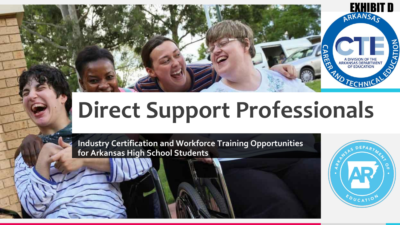

# **Direct Support Professionals**

**Industry Certification and Workforce Training Opportunities for Arkansas High School Students**

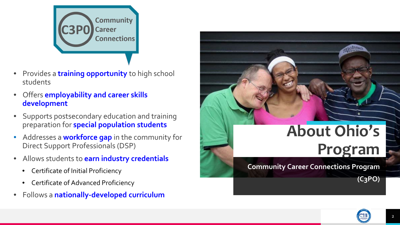

- Provides a **training opportunity** to high school students
- Offers **employability and career skills development**
- Supports postsecondary education and training preparation for **special population students**
- Addresses a **workforce gap** in the community for Direct Support Professionals (DSP)
- Allows students to **earn industry credentials**
	- Certificate of Initial Proficiency
	- Certificate of Advanced Proficiency
- Follows a **nationally-developed curriculum**



# **About Ohio's Program**

**Community Career Connections Program**

**(C3PO)**

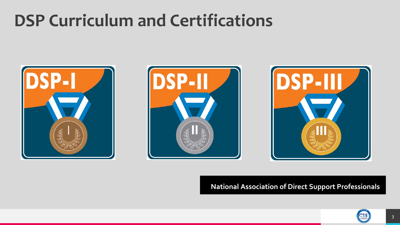# **DSP Curriculum and Certifications**







#### **National Association of Direct Support Professionals**

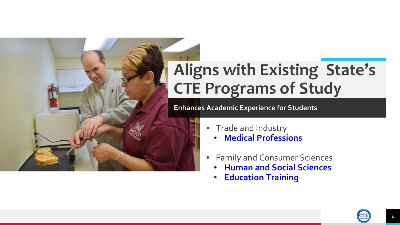# **Aligns with Existing State's CTE Programs of Study**

**Enhances Academic Experience for Students**

- Trade and Industry
	- **Medical Professions**
- Family and Consumer Sciences
	- **Human and Social Sciences**
	- **Education Training**

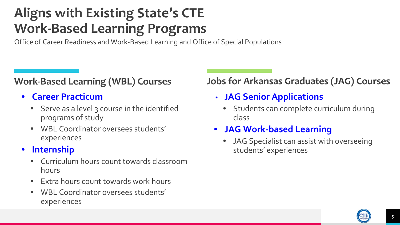### **Aligns with Existing State's CTE Work-Based Learning Programs**

Office of Career Readiness and Work-Based Learning and Office of Special Populations

#### **Work-Based Learning (WBL) Courses**

- **Career Practicum**
	- Serve as a level 3 course in the identified programs of study
	- WBL Coordinator oversees students' experiences

#### • **Internship**

- Curriculum hours count towards classroom hours
- Extra hours count towards work hours
- WBL Coordinator oversees students' experiences

#### **Jobs for Arkansas Graduates (JAG) Courses**

- **JAG Senior Applications** 
	- Students can complete curriculum during class
- **JAG Work-based Learning** 
	- JAG Specialist can assist with overseeing students' experiences

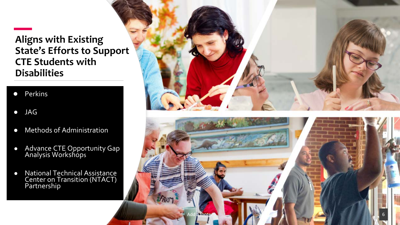#### **Aligns with Existing State's Efforts to Support CTE Students with Disabilities**

- Perkins
- JAG
- Methods of Administration
- Advance CTE Opportunity Gap Analysis Workshops
- National Technical Assistance Center on Transition (NTACT) Partnership



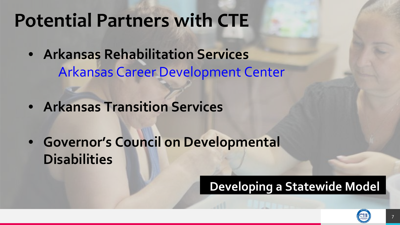# **Potential Partners with CTE**

- **Arkansas Rehabilitation Services** Arkansas Career Development Center
- **Arkansas Transition Services**
- **Governor's Council on Developmental Disabilities**

### **Developing a Statewide Model**

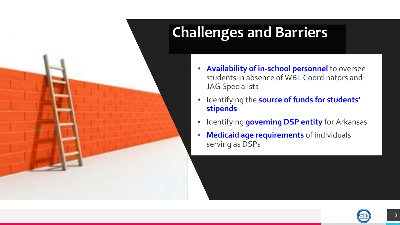# **Challenges and Barriers**

- **Availability of in-school personnel** to oversee students in absence of WBL Coordinators and JAG Specialists
- Identifying the **source of funds for students' stipends**
- **and Barriers** Identifying **governing DSP entity** for Arkansas
- Medicaid age requirements of individuals<br>serving as DSPs serving as DSPs